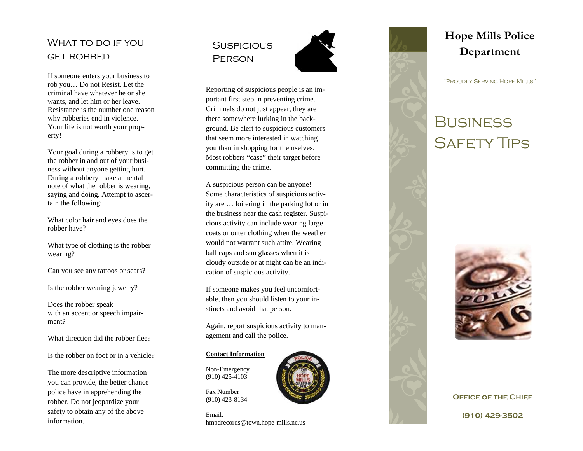### WHAT TO DO IF YOU get robbed

If someone enters your business to rob you… Do not Resist. Let the criminal have whatever he or she wants, and let him or her leave. Resistance is the number one reason why robberies end in violence. Your life is not worth your property!

Your goal during a robbery is to get the robber in and out of your business without anyone getting hurt. During a robbery make a mental note of what the robber is wearing, saying and doing. Attempt to ascertain the following:

What color hair and eyes does the robber have?

What type of clothing is the robber wearing?

Can you see any tattoos or scars?

Is the robber wearing jewelry?

Does the robber speak with an accent or speech impairment?

What direction did the robber flee?

Is the robber on foot or in a vehicle?

The more descriptive information you can provide, the better chance police have in apprehending the robber. Do not jeopardize your safety to obtain any of the above information.

### **SUSPICIOUS PERSON**



Reporting of suspicious people is an important first step in preventing crime. Criminals do not just appear, they are there somewhere lurking in the background. Be alert to suspicious customers that seem more interested in watching you than in shopping for themselves. Most robbers "case" their target before committing the crime.

A suspicious person can be anyone! Some characteristics of suspicious activity are … loitering in the parking lot or in the business near the cash register. Suspicious activity can include wearing large coats or outer clothing when the weather would not warrant such attire. Wearing ball caps and sun glasses when it is cloudy outside or at night can be an indication of suspicious activity.

If someone makes you feel uncomfortable, then you should listen to your instincts and avoid that person.

Again, report suspicious activity to management and call the police.

#### **Contact Information**

Non-Emergency (910) 425-4103

Fax Number (910) 423-8134

Email: hmpdrecords@town.hope-mills.nc.us



## **Hope Mills Police Department**

"Proudly Serving Hope Mills"

# **BUSINESS** Safety Tips



**Office of the Chief (910) 429-3502**